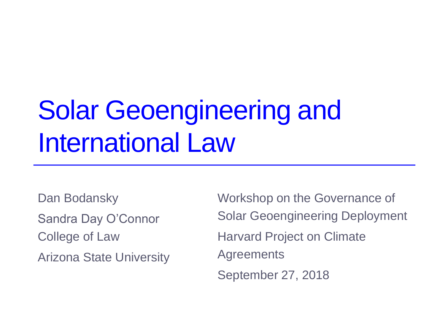# Solar Geoengineering and International Law

Dan Bodansky Sandra Day O'Connor College of Law Arizona State University Workshop on the Governance of Solar Geoengineering Deployment Harvard Project on Climate Agreements September 27, 2018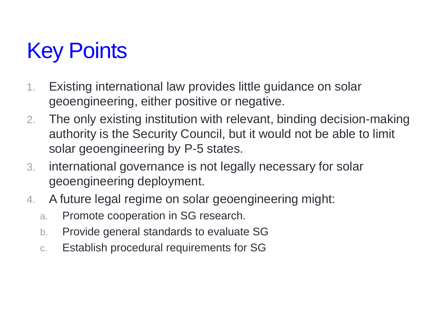### Key Points

- 1. Existing international law provides little guidance on solar geoengineering, either positive or negative.
- 2. The only existing institution with relevant, binding decision-making authority is the Security Council, but it would not be able to limit solar geoengineering by P-5 states.
- 3. international governance is not legally necessary for solar geoengineering deployment.
- 4. A future legal regime on solar geoengineering might:
	- a. Promote cooperation in SG research.
	- b. Provide general standards to evaluate SG
	- c. Establish procedural requirements for SG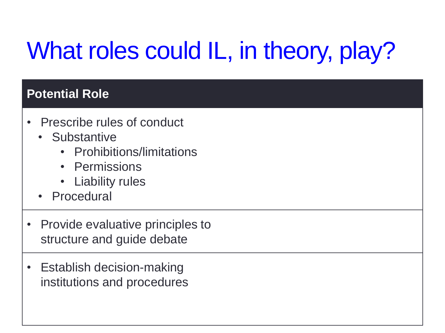# What roles could IL, in theory, play?

### **Potential Role**

- Prescribe rules of conduct
	- Substantive
		- Prohibitions/limitations
		- Permissions
		- Liability rules
	- Procedural
- Provide evaluative principles to structure and guide debate
- Establish decision-making institutions and procedures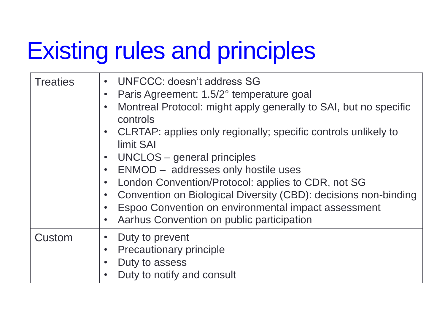### Existing rules and principles

| <b>Treaties</b> | <b>UNFCCC: doesn't address SG</b><br>$\bullet$<br>Paris Agreement: 1.5/2° temperature goal<br>$\bullet$<br>Montreal Protocol: might apply generally to SAI, but no specific<br>$\bullet$<br>controls<br>CLRTAP: applies only regionally; specific controls unlikely to<br>$\bullet$<br>limit SAI<br>UNCLOS – general principles<br>$\bullet$<br>ENMOD - addresses only hostile uses<br>$\bullet$<br>London Convention/Protocol: applies to CDR, not SG<br>$\bullet$<br>Convention on Biological Diversity (CBD): decisions non-binding<br>$\bullet$<br>Espoo Convention on environmental impact assessment<br>$\bullet$<br>Aarhus Convention on public participation<br>$\bullet$ |
|-----------------|-----------------------------------------------------------------------------------------------------------------------------------------------------------------------------------------------------------------------------------------------------------------------------------------------------------------------------------------------------------------------------------------------------------------------------------------------------------------------------------------------------------------------------------------------------------------------------------------------------------------------------------------------------------------------------------|
| Custom          | Duty to prevent<br>Precautionary principle<br>$\bullet$<br>Duty to assess<br>$\bullet$<br>Duty to notify and consult<br>$\bullet$                                                                                                                                                                                                                                                                                                                                                                                                                                                                                                                                                 |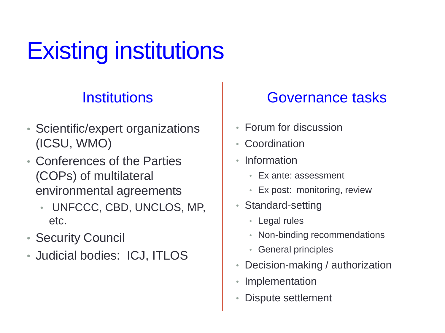# Existing institutions

### **Institutions**

- Scientific/expert organizations (ICSU, WMO)
- Conferences of the Parties (COPs) of multilateral environmental agreements
	- UNFCCC, CBD, UNCLOS, MP, etc.
- Security Council
- Judicial bodies: ICJ, ITLOS

### Governance tasks

- Forum for discussion
- Coordination
- Information
	- Ex ante: assessment
	- Ex post: monitoring, review
- Standard-setting
	- Legal rules
	- Non-binding recommendations
	- General principles
- Decision-making / authorization
- **Implementation**
- Dispute settlement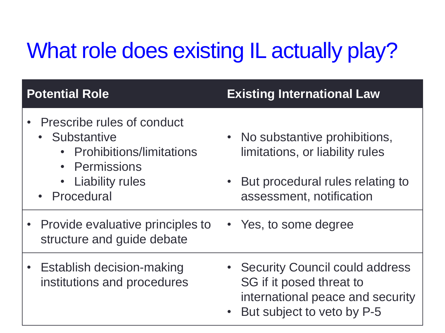### What role does existing IL actually play?

### **Potential Role Existing International Law**

- Prescribe rules of conduct
	- Substantive
		- Prohibitions/limitations
		- Permissions
		- Liability rules
	- Procedural
- No substantive prohibitions, limitations, or liability rules
- But procedural rules relating to assessment, notification
- Provide evaluative principles to structure and guide debate • Yes, to some degree
- Establish decision-making institutions and procedures
- Security Council could address SG if it posed threat to international peace and security
- But subject to veto by P-5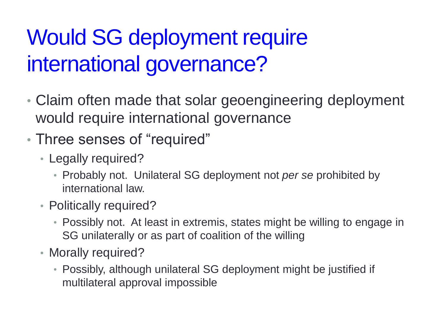### Would SG deployment require international governance?

- Claim often made that solar geoengineering deployment would require international governance
- Three senses of "required"
	- Legally required?
		- Probably not. Unilateral SG deployment not *per se* prohibited by international law.
	- Politically required?
		- Possibly not. At least in extremis, states might be willing to engage in SG unilaterally or as part of coalition of the willing
	- Morally required?
		- Possibly, although unilateral SG deployment might be justified if multilateral approval impossible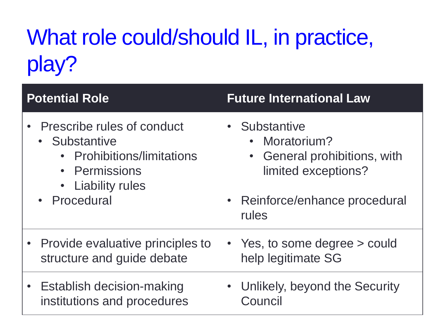### What role could/should IL, in practice, play?

### **Potential Role Future International Law**

- Prescribe rules of conduct
	- Substantive
		- Prohibitions/limitations
		- Permissions
		- Liability rules
	- **Procedural**
- Substantive
	- Moratorium?
	- General prohibitions, with limited exceptions?
- Reinforce/enhance procedural rules
- Provide evaluative principles to structure and guide debate
- Establish decision-making institutions and procedures
- Yes, to some degree > could help legitimate SG
- Unlikely, beyond the Security Council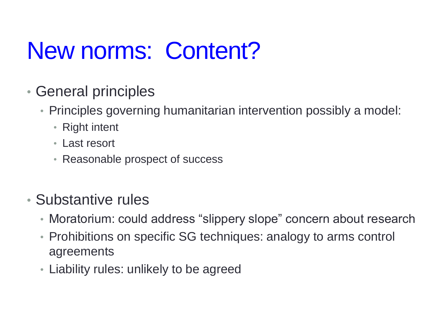## New norms: Content?

- General principles
	- Principles governing humanitarian intervention possibly a model:
		- Right intent
		- Last resort
		- Reasonable prospect of success

### • Substantive rules

- Moratorium: could address "slippery slope" concern about research
- Prohibitions on specific SG techniques: analogy to arms control agreements
- Liability rules: unlikely to be agreed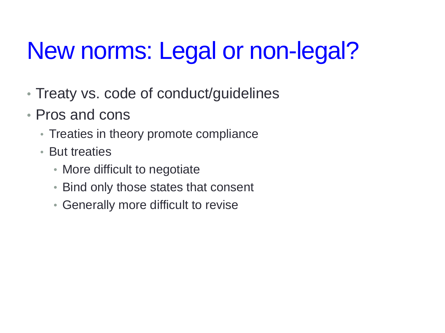# New norms: Legal or non-legal?

- Treaty vs. code of conduct/guidelines
- Pros and cons
	- Treaties in theory promote compliance
	- But treaties
		- More difficult to negotiate
		- Bind only those states that consent
		- Generally more difficult to revise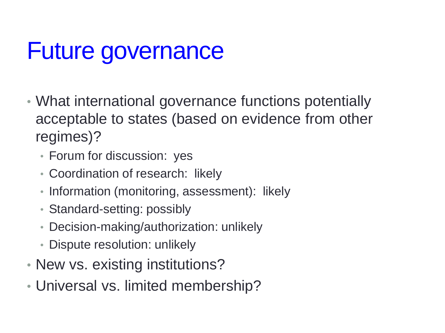### Future governance

- What international governance functions potentially acceptable to states (based on evidence from other regimes)?
	- Forum for discussion: yes
	- Coordination of research: likely
	- Information (monitoring, assessment): likely
	- Standard-setting: possibly
	- Decision-making/authorization: unlikely
	- Dispute resolution: unlikely
- New vs. existing institutions?
- Universal vs. limited membership?